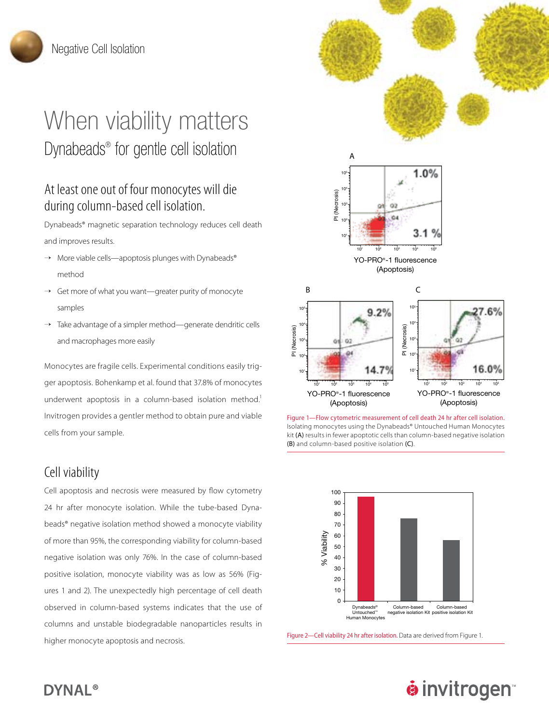# When viability matters Dynabeads® for gentle cell isolation

## At least one out of four monocytes will die during column-based cell isolation.

Dynabeads® magnetic separation technology reduces cell death and improves results.

- $\rightarrow$  More viable cells—apoptosis plunges with Dynabeads® method
- → Get more of what you want—greater purity of monocyte samples
- → Take advantage of a simpler method—generate dendritic cells and macrophages more easily

Monocytes are fragile cells. Experimental conditions easily trigger apoptosis. Bohenkamp et al. found that 37.8% of monocytes underwent apoptosis in a column-based isolation method.<sup>1</sup> Invitrogen provides a gentler method to obtain pure and viable cells from your sample.

#### Cell viability

Cell apoptosis and necrosis were measured by flow cytometry 24 hr after monocyte isolation. While the tube-based Dynabeads® negative isolation method showed a monocyte viability of more than 95%, the corresponding viability for column-based negative isolation was only 76%. In the case of column-based positive isolation, monocyte viability was as low as 56% (Figures 1 and 2). The unexpectedly high percentage of cell death observed in column-based systems indicates that the use of columns and unstable biodegradable nanoparticles results in higher monocyte apoptosis and necrosis. Figure 2—Cell viability 24 hr after isolation. Data are derived from Figure 1.



Figure 1—Flow cytometric measurement of cell death 24 hr after cell isolation. Isolating monocytes using the Dynabeads® Untouched Human Monocytes kit (A) results in fewer apoptotic cells than column-based negative isolation (B) and column-based positive isolation (C).